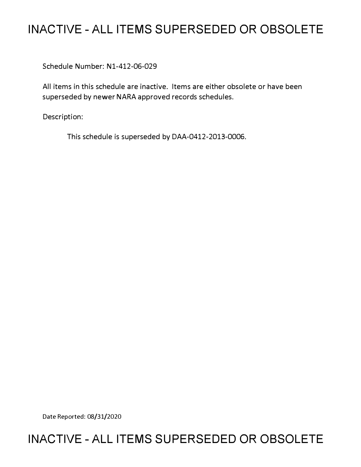# **INACTIVE - ALL ITEMS SUPERSEDED OR OBSOLETE**

Schedule Number: Nl-412-06-029

All items in this schedule are inactive. Items are either obsolete or have been superseded by newer NARA approved records schedules.

Description:

This schedule is superseded by DAA-0412-2013-0006.

Date Reported: 08/31/2020

# **INACTIVE - ALL ITEMS SUPERSEDED OR OBSOLETE**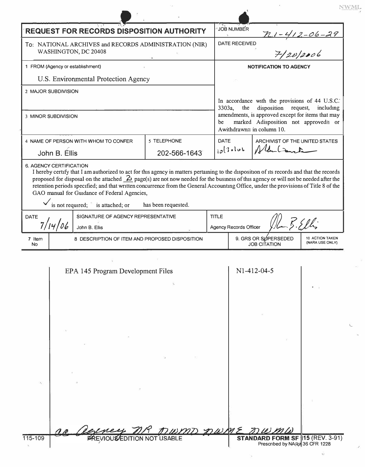|                                                                                                                                                                                                                                                                                                                                                                                                                                                                                                                                                                           | 71,77<br>t it<br><b>REQUEST FOR RECORDS DISPOSITION AUTHORITY</b> | $\mathbf{v}_\mathbf{A}$<br>JOB NUMBER                                                                                        |
|---------------------------------------------------------------------------------------------------------------------------------------------------------------------------------------------------------------------------------------------------------------------------------------------------------------------------------------------------------------------------------------------------------------------------------------------------------------------------------------------------------------------------------------------------------------------------|-------------------------------------------------------------------|------------------------------------------------------------------------------------------------------------------------------|
| To: NATIONAL ARCHIVES and RECORDS ADMINISTRATION (NIR)<br>WASHINGTON, DC 20408                                                                                                                                                                                                                                                                                                                                                                                                                                                                                            |                                                                   | <u>n 1 - 4 1 2 - 06 - 29</u><br>7 - 120   2006<br><b>DATE RECEIVED</b>                                                       |
| 1 FROM (Agency or establishment)                                                                                                                                                                                                                                                                                                                                                                                                                                                                                                                                          |                                                                   | <b>NOTIFICATION TO AGENCY</b>                                                                                                |
|                                                                                                                                                                                                                                                                                                                                                                                                                                                                                                                                                                           | U.S. Environmental Protection Agency                              |                                                                                                                              |
| 2 MAJOR SUBDIVISION                                                                                                                                                                                                                                                                                                                                                                                                                                                                                                                                                       |                                                                   |                                                                                                                              |
|                                                                                                                                                                                                                                                                                                                                                                                                                                                                                                                                                                           |                                                                   | In accordance with the provisions of 44 U.S.C.<br>disposition request, including<br>the<br>3303a,                            |
| 3 MINOR SUBDIVISION                                                                                                                                                                                                                                                                                                                                                                                                                                                                                                                                                       |                                                                   | amendments, is approved except for items that may<br>marked Adisposition not approved≅ or<br>be<br>Awithdrawn≅ in column 10. |
|                                                                                                                                                                                                                                                                                                                                                                                                                                                                                                                                                                           | 5 TELEPHONE<br>4 NAME OF PERSON WITH WHOM TO CONFER               | ARCHIVIST OF THE UNITED STATES<br><b>DATE</b>                                                                                |
| John B. Ellis                                                                                                                                                                                                                                                                                                                                                                                                                                                                                                                                                             | 202-566-1643                                                      | Nelsont<br>$10^{13}$ oluk                                                                                                    |
| 6. AGENCY CERTIFICATION<br>I hereby certify that I am authorized to act for this agency in matters pertaining to the disposition of its records and that the records<br>proposed for disposal on the attached $\frac{2}{2}$ page(s) are not now needed for the business of this agency or will not be needed after the<br>retention periods specified; and that written concurrence from the General Accounting Office, under the provisions of Title 8 of the<br>GAO manual for Guidance of Federal Agencies,<br>is not required; is attached; or<br>has been requested. |                                                                   |                                                                                                                              |
| <b>DATE</b>                                                                                                                                                                                                                                                                                                                                                                                                                                                                                                                                                               | SIGNATURE OF AGENCY REPRESENTATIVE                                | <b>TITLE</b><br>2.5.9                                                                                                        |
| 7/14/06                                                                                                                                                                                                                                                                                                                                                                                                                                                                                                                                                                   | John B. Ellis                                                     | <b>Agency Records Officer</b>                                                                                                |
| 7 Item<br><b>No</b>                                                                                                                                                                                                                                                                                                                                                                                                                                                                                                                                                       | 8 DESCRIPTION OF ITEM AND PROPOSED DISPOSITION                    | 9. GRS OR SØPERSEDED<br>10 ACTION TAKEN<br>(NARA USE ONLY)<br><b>JOB CITATION</b>                                            |
|                                                                                                                                                                                                                                                                                                                                                                                                                                                                                                                                                                           | EPA 145 Program Development Files                                 | N1-412-04-5                                                                                                                  |
| 115-109                                                                                                                                                                                                                                                                                                                                                                                                                                                                                                                                                                   | COLORELLY MR MUMD MWME                                            | STANDARD FORM SF 15 (REV. 3-91)<br>Prescribed by NARA 36 CFR 1228                                                            |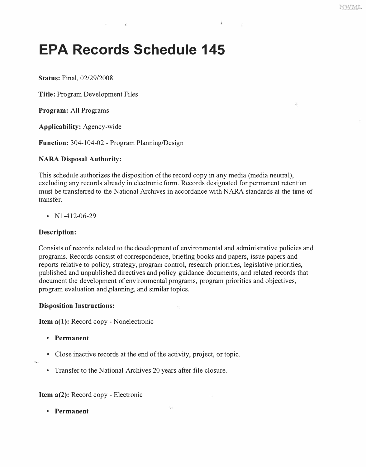# **EPA Records Schedule 145**

**Status: Final, 02/29/2008** 

**Title: Program Development Files** 

**Program: All Programs** 

**Applicability: Agency-wide** 

**Function: 3 04-104-02 - Program Planning/Design** 

# **NARA Disposal Authority:**

**This schedule authorizes the disposition of the record copy in any media (media neutral), excluding any records already in electronic form. Records designated for permanent retention must be transferred to the National Archives in accordance with NARA standards at the time of transfer.** 

**• Nl-412-06-29** 

# **Description:**

**Consists of records related to the development of environmental and administrative policies and programs. Records consist of correspondence, briefing books and papers, issue papers and reports relative to policy, strategy, program control, research priorities, legislative priorities, published and unpublished directives and policy guidance documents, and related records that document the development of environmental programs, program priorities and objectives, program evaluation and,planning, and similar topics.** 

## **Disposition Instructions:**

**Item a(l): Record copy - Nonelectronic** 

- **Permanent**
- **Close inactive records at the end of the activity, project, or topic.**
- 
- **Transfer to the National Archives 20 years after file closure.**

**Item a(2): Record copy - Electronic** 

**• Permanent**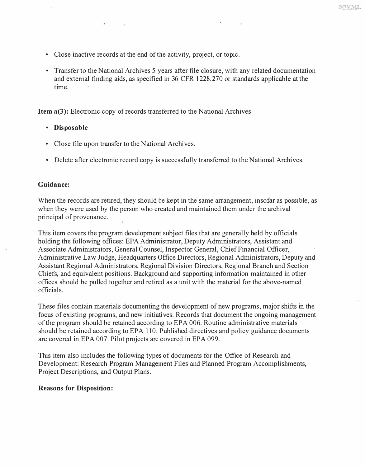- **Close inactive records at the end of the activity, project, or topic.**
- **Transfer to the National Archives 5 years after file closure, with any related documentation and external finding aids, as specified in 36 CFR 1228.270 or standards applicable at the time.**

**Item a(3): Electronic copy of records transferred to the National Archives** 

- **Disposable**
- **Close file upon transfer to the National Archives.**
- **Delete after electronic record copy is successfully transferred to the National Archives.**

#### **Guidance:**

 $\bar{\chi}$ 

**When the records are retired, they should be kept in the same arrangement, insofar as possible, as when they were used by the person who created and maintained them under the archival principal of provenance.** 

**This item covers the program development subject files that are generally held by officials holding the following offices: EPA Administrator, Deputy Administrators, Assistant and Associate Administrators, General Counsel, Inspector General, Chief Financial Officer, Administrative Law Judge, Headquarters Office Directors, Regional Administrators, Deputy and Assistant Regional Administrators, Regional Division Directors, Regional Branch and Section Chiefs, and equivalent positions. Background and supporting information maintained in other offices should be pulled together and retired as a unit with the material for the above-named officials.** 

**These files contain materials documenting the development of new programs, major shifts in the focus of existing programs, and new initiatives. Records that document the ongoing management of the program should be retained according to EPA 006. Routine administrative materials should be retained according to EPA 110. Published directives and policy guidance documents are covered in EPA 007. Pilot projects are covered in EPA 099.** 

**This item also includes the following types of documents for the Office of Research and Development: Research Program Management Files and Planned Program Accomplishments, Project Descriptions, and Output Plans.** 

#### **Reasons for Disposition:**